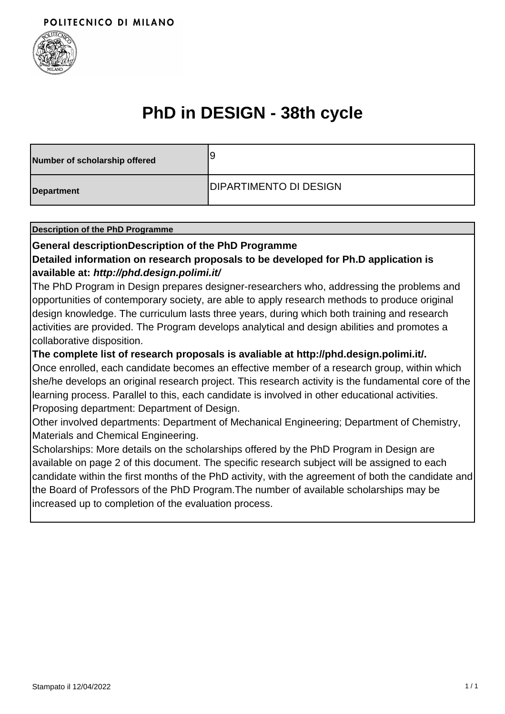

## **PhD in DESIGN - 38th cycle**

| Number of scholarship offered | g                             |
|-------------------------------|-------------------------------|
| Department                    | <b>DIPARTIMENTO DI DESIGN</b> |

#### **Description of the PhD Programme**

#### **General descriptionDescription of the PhD Programme**

## **Detailed information on research proposals to be developed for Ph.D application is available at: http://phd.design.polimi.it/**

The PhD Program in Design prepares designer-researchers who, addressing the problems and opportunities of contemporary society, are able to apply research methods to produce original design knowledge. The curriculum lasts three years, during which both training and research activities are provided. The Program develops analytical and design abilities and promotes a collaborative disposition.

### **The complete list of research proposals is avaliable at http://phd.design.polimi.it/.**

Once enrolled, each candidate becomes an effective member of a research group, within which she/he develops an original research project. This research activity is the fundamental core of the learning process. Parallel to this, each candidate is involved in other educational activities. Proposing department: Department of Design.

Other involved departments: Department of Mechanical Engineering; Department of Chemistry, Materials and Chemical Engineering.

Scholarships: More details on the scholarships offered by the PhD Program in Design are available on page 2 of this document. The specific research subject will be assigned to each candidate within the first months of the PhD activity, with the agreement of both the candidate and the Board of Professors of the PhD Program.The number of available scholarships may be increased up to completion of the evaluation process.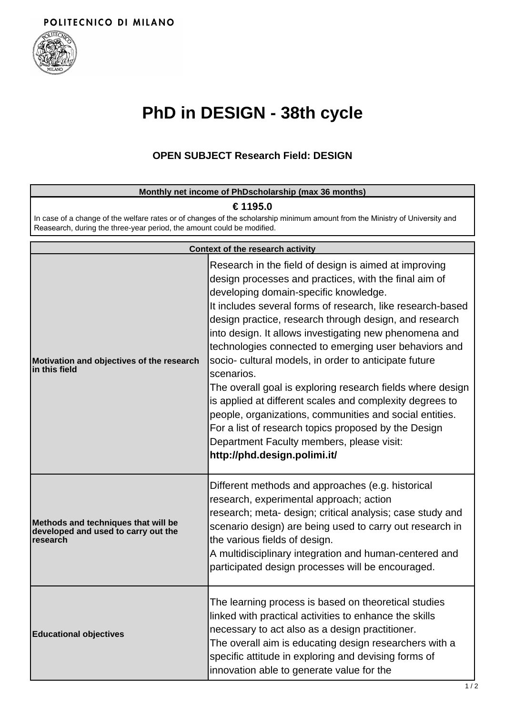

# **PhD in DESIGN - 38th cycle**

## **OPEN SUBJECT Research Field: DESIGN**

| Monthly net income of PhDscholarship (max 36 months)                                                                                                                                                               |                                                                                                                                                                                                                                                                                                                                                                                                                                                                                                                                                                                                                                                                                                                                                                                                     |  |
|--------------------------------------------------------------------------------------------------------------------------------------------------------------------------------------------------------------------|-----------------------------------------------------------------------------------------------------------------------------------------------------------------------------------------------------------------------------------------------------------------------------------------------------------------------------------------------------------------------------------------------------------------------------------------------------------------------------------------------------------------------------------------------------------------------------------------------------------------------------------------------------------------------------------------------------------------------------------------------------------------------------------------------------|--|
| € 1195.0<br>In case of a change of the welfare rates or of changes of the scholarship minimum amount from the Ministry of University and<br>Reasearch, during the three-year period, the amount could be modified. |                                                                                                                                                                                                                                                                                                                                                                                                                                                                                                                                                                                                                                                                                                                                                                                                     |  |
|                                                                                                                                                                                                                    | Context of the research activity                                                                                                                                                                                                                                                                                                                                                                                                                                                                                                                                                                                                                                                                                                                                                                    |  |
| Motivation and objectives of the research<br>in this field                                                                                                                                                         | Research in the field of design is aimed at improving<br>design processes and practices, with the final aim of<br>developing domain-specific knowledge.<br>It includes several forms of research, like research-based<br>design practice, research through design, and research<br>into design. It allows investigating new phenomena and<br>technologies connected to emerging user behaviors and<br>socio- cultural models, in order to anticipate future<br>scenarios.<br>The overall goal is exploring research fields where design<br>is applied at different scales and complexity degrees to<br>people, organizations, communities and social entities.<br>For a list of research topics proposed by the Design<br>Department Faculty members, please visit:<br>http://phd.design.polimi.it/ |  |
| Methods and techniques that will be<br>developed and used to carry out the<br>research                                                                                                                             | Different methods and approaches (e.g. historical<br>research, experimental approach; action<br>research; meta- design; critical analysis; case study and<br>scenario design) are being used to carry out research in<br>the various fields of design.<br>A multidisciplinary integration and human-centered and<br>participated design processes will be encouraged.                                                                                                                                                                                                                                                                                                                                                                                                                               |  |
| <b>Educational objectives</b>                                                                                                                                                                                      | The learning process is based on theoretical studies<br>linked with practical activities to enhance the skills<br>necessary to act also as a design practitioner.<br>The overall aim is educating design researchers with a<br>specific attitude in exploring and devising forms of<br>innovation able to generate value for the                                                                                                                                                                                                                                                                                                                                                                                                                                                                    |  |